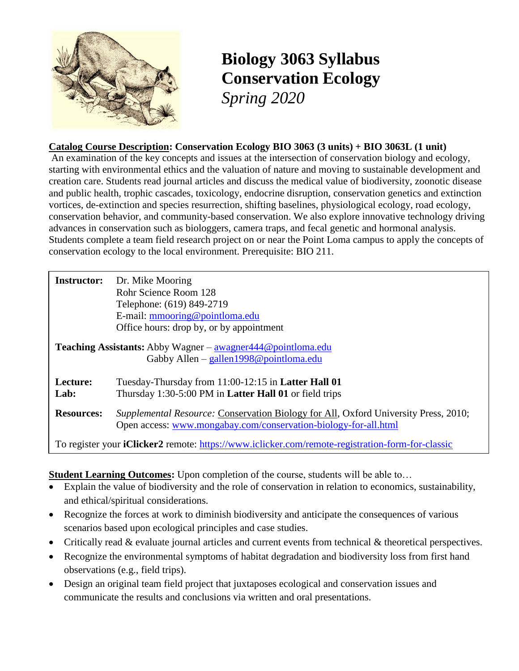

# **Biology 3063 Syllabus Conservation Ecology** *Spring 2020*

#### **Catalog Course Description: Conservation Ecology BIO 3063 (3 units) + BIO 3063L (1 unit)**

An examination of the key concepts and issues at the intersection of conservation biology and ecology, starting with environmental ethics and the valuation of nature and moving to sustainable development and creation care. Students read journal articles and discuss the medical value of biodiversity, zoonotic disease and public health, trophic cascades, toxicology, endocrine disruption, conservation genetics and extinction vortices, de-extinction and species resurrection, shifting baselines, physiological ecology, road ecology, conservation behavior, and community-based conservation. We also explore innovative technology driving advances in conservation such as biologgers, camera traps, and fecal genetic and hormonal analysis. Students complete a team field research project on or near the Point Loma campus to apply the concepts of conservation ecology to the local environment. Prerequisite: BIO 211.

| <b>Instructor:</b> | Dr. Mike Mooring<br>Rohr Science Room 128<br>Telephone: (619) 849-2719<br>E-mail: mmooring@pointloma.edu<br>Office hours: drop by, or by appointment          |
|--------------------|---------------------------------------------------------------------------------------------------------------------------------------------------------------|
|                    | <b>Teaching Assistants:</b> Abby Wagner $-\alpha$ awagner $444@$ point loma. edu<br>Gabby Allen – gallen $1998@$ point loma.edu                               |
| Lecture:<br>Lab:   | Tuesday-Thursday from 11:00-12:15 in <b>Latter Hall 01</b><br>Thursday 1:30-5:00 PM in Latter Hall 01 or field trips                                          |
| <b>Resources:</b>  | <i>Supplemental Resource:</i> Conservation Biology for All, Oxford University Press, 2010;<br>Open access: www.mongabay.com/conservation-biology-for-all.html |
|                    | To register your <b>iClicker2</b> remote: https://www.iclicker.com/remote-registration-form-for-classic                                                       |

#### **Student Learning Outcomes:** Upon completion of the course, students will be able to...

- Explain the value of biodiversity and the role of conservation in relation to economics, sustainability, and ethical/spiritual considerations.
- Recognize the forces at work to diminish biodiversity and anticipate the consequences of various scenarios based upon ecological principles and case studies.
- Critically read & evaluate journal articles and current events from technical & theoretical perspectives.
- Recognize the environmental symptoms of habitat degradation and biodiversity loss from first hand observations (e.g., field trips).
- Design an original team field project that juxtaposes ecological and conservation issues and communicate the results and conclusions via written and oral presentations.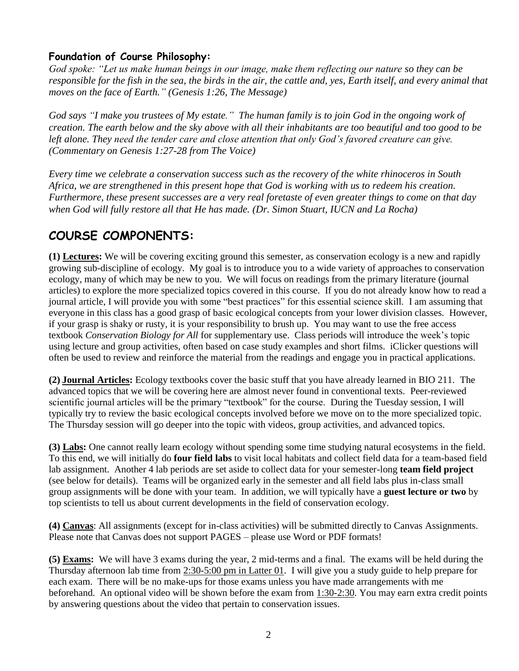### **Foundation of Course Philosophy:**

*God spoke: "Let us make human beings in our image, make them reflecting our nature so they can be responsible for the fish in the sea, the birds in the air, the cattle and, yes, Earth itself, and every animal that moves on the face of Earth." (Genesis 1:26, The Message)*

*God says "I make you trustees of My estate." The human family is to join God in the ongoing work of creation. The earth below and the sky above with all their inhabitants are too beautiful and too good to be left alone. They need the tender care and close attention that only God's favored creature can give. (Commentary on Genesis 1:27-28 from The Voice)*

*Every time we celebrate a conservation success such as the recovery of the white rhinoceros in South Africa, we are strengthened in this present hope that God is working with us to redeem his creation. Furthermore, these present successes are a very real foretaste of even greater things to come on that day when God will fully restore all that He has made. (Dr. Simon Stuart, IUCN and La Rocha)*

## **COURSE COMPONENTS:**

**(1) Lectures:** We will be covering exciting ground this semester, as conservation ecology is a new and rapidly growing sub-discipline of ecology. My goal is to introduce you to a wide variety of approaches to conservation ecology, many of which may be new to you. We will focus on readings from the primary literature (journal articles) to explore the more specialized topics covered in this course. If you do not already know how to read a journal article, I will provide you with some "best practices" for this essential science skill. I am assuming that everyone in this class has a good grasp of basic ecological concepts from your lower division classes. However, if your grasp is shaky or rusty, it is your responsibility to brush up. You may want to use the free access textbook *Conservation Biology for All* for supplementary use. Class periods will introduce the week's topic using lecture and group activities, often based on case study examples and short films. iClicker questions will often be used to review and reinforce the material from the readings and engage you in practical applications.

**(2) Journal Articles:** Ecology textbooks cover the basic stuff that you have already learned in BIO 211. The advanced topics that we will be covering here are almost never found in conventional texts. Peer-reviewed scientific journal articles will be the primary "textbook" for the course. During the Tuesday session, I will typically try to review the basic ecological concepts involved before we move on to the more specialized topic. The Thursday session will go deeper into the topic with videos, group activities, and advanced topics.

**(3) Labs:** One cannot really learn ecology without spending some time studying natural ecosystems in the field. To this end, we will initially do **four field labs** to visit local habitats and collect field data for a team-based field lab assignment. Another 4 lab periods are set aside to collect data for your semester-long **team field project** (see below for details). Teams will be organized early in the semester and all field labs plus in-class small group assignments will be done with your team. In addition, we will typically have a **guest lecture or two** by top scientists to tell us about current developments in the field of conservation ecology.

**(4) Canvas**: All assignments (except for in-class activities) will be submitted directly to Canvas Assignments. Please note that Canvas does not support PAGES – please use Word or PDF formats!

**(5) Exams:** We will have 3 exams during the year, 2 mid-terms and a final. The exams will be held during the Thursday afternoon lab time from 2:30-5:00 pm in Latter 01. I will give you a study guide to help prepare for each exam. There will be no make-ups for those exams unless you have made arrangements with me beforehand. An optional video will be shown before the exam from 1:30-2:30. You may earn extra credit points by answering questions about the video that pertain to conservation issues.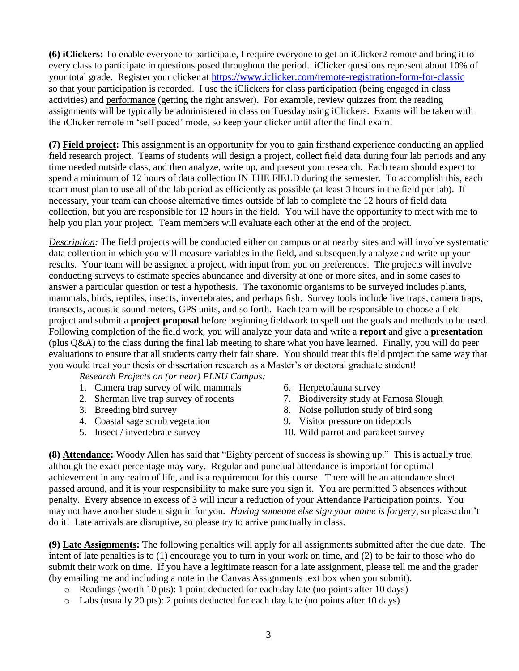**(6) iClickers:** To enable everyone to participate, I require everyone to get an iClicker2 remote and bring it to every class to participate in questions posed throughout the period. iClicker questions represent about 10% of your total grade. Register your clicker at <https://www.iclicker.com/remote-registration-form-for-classic> so that your participation is recorded. I use the iClickers for class participation (being engaged in class activities) and performance (getting the right answer). For example, review quizzes from the reading assignments will be typically be administered in class on Tuesday using iClickers. Exams will be taken with the iClicker remote in 'self-paced' mode, so keep your clicker until after the final exam!

**(7) Field project:** This assignment is an opportunity for you to gain firsthand experience conducting an applied field research project. Teams of students will design a project, collect field data during four lab periods and any time needed outside class, and then analyze, write up, and present your research. Each team should expect to spend a minimum of 12 hours of data collection IN THE FIELD during the semester. To accomplish this, each team must plan to use all of the lab period as efficiently as possible (at least 3 hours in the field per lab). If necessary, your team can choose alternative times outside of lab to complete the 12 hours of field data collection, but you are responsible for 12 hours in the field. You will have the opportunity to meet with me to help you plan your project. Team members will evaluate each other at the end of the project.

*Description:* The field projects will be conducted either on campus or at nearby sites and will involve systematic data collection in which you will measure variables in the field, and subsequently analyze and write up your results. Your team will be assigned a project, with input from you on preferences. The projects will involve conducting surveys to estimate species abundance and diversity at one or more sites, and in some cases to answer a particular question or test a hypothesis. The taxonomic organisms to be surveyed includes plants, mammals, birds, reptiles, insects, invertebrates, and perhaps fish. Survey tools include live traps, camera traps, transects, acoustic sound meters, GPS units, and so forth. Each team will be responsible to choose a field project and submit a **project proposal** before beginning fieldwork to spell out the goals and methods to be used. Following completion of the field work, you will analyze your data and write a **report** and give a **presentation**  (plus Q&A) to the class during the final lab meeting to share what you have learned. Finally, you will do peer evaluations to ensure that all students carry their fair share. You should treat this field project the same way that you would treat your thesis or dissertation research as a Master's or doctoral graduate student!

*Research Projects on (or near) PLNU Campus:*

- 1. Camera trap survey of wild mammals
- 2. Sherman live trap survey of rodents
- 3. Breeding bird survey
- 4. Coastal sage scrub vegetation
- 5. Insect / invertebrate survey
- 6. Herpetofauna survey
- 7. Biodiversity study at Famosa Slough
- 8. Noise pollution study of bird song
- 9. Visitor pressure on tidepools
- 10. Wild parrot and parakeet survey

**(8) Attendance:** Woody Allen has said that "Eighty percent of success is showing up." This is actually true, although the exact percentage may vary. Regular and punctual attendance is important for optimal achievement in any realm of life, and is a requirement for this course. There will be an attendance sheet passed around, and it is your responsibility to make sure you sign it. You are permitted 3 absences without penalty. Every absence in excess of 3 will incur a reduction of your Attendance Participation points. You may not have another student sign in for you. *Having someone else sign your name is forgery*, so please don't do it! Late arrivals are disruptive, so please try to arrive punctually in class.

**(9) Late Assignments:** The following penalties will apply for all assignments submitted after the due date. The intent of late penalties is to (1) encourage you to turn in your work on time, and (2) to be fair to those who do submit their work on time. If you have a legitimate reason for a late assignment, please tell me and the grader (by emailing me and including a note in the Canvas Assignments text box when you submit).

- o Readings (worth 10 pts): 1 point deducted for each day late (no points after 10 days)
- o Labs (usually 20 pts): 2 points deducted for each day late (no points after 10 days)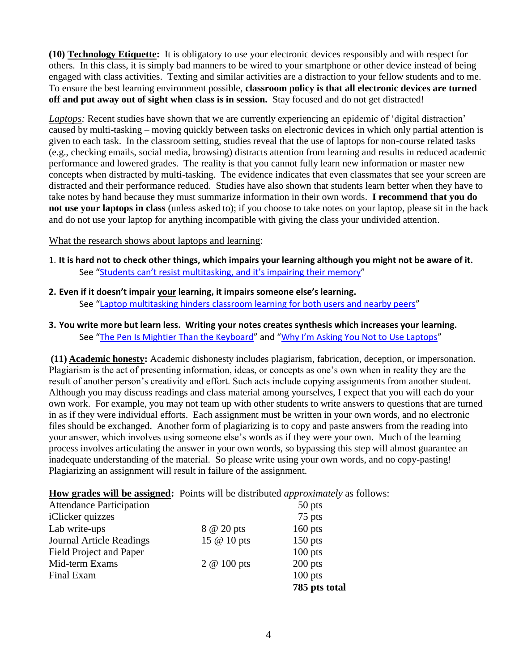**(10) Technology Etiquette:** It is obligatory to use your electronic devices responsibly and with respect for others. In this class, it is simply bad manners to be wired to your smartphone or other device instead of being engaged with class activities. Texting and similar activities are a distraction to your fellow students and to me. To ensure the best learning environment possible, **classroom policy is that all electronic devices are turned off and put away out of sight when class is in session.** Stay focused and do not get distracted!

*Laptops:* Recent studies have shown that we are currently experiencing an epidemic of 'digital distraction' caused by multi-tasking – moving quickly between tasks on electronic devices in which only partial attention is given to each task. In the classroom setting, studies reveal that the use of laptops for non-course related tasks (e.g., checking emails, social media, browsing) distracts attention from learning and results in reduced academic performance and lowered grades. The reality is that you cannot fully learn new information or master new concepts when distracted by multi-tasking. The evidence indicates that even classmates that see your screen are distracted and their performance reduced. Studies have also shown that students learn better when they have to take notes by hand because they must summarize information in their own words. **I recommend that you do not use your laptops in class** (unless asked to); if you choose to take notes on your laptop, please sit in the back and do not use your laptop for anything incompatible with giving the class your undivided attention.

What the research shows about laptops and learning:

- 1. **It is hard not to check other things, which impairs your learning although you might not be aware of it.**  See ["Students can't resist multitasking, and it's impairing their memory"](http://www.slate.com/articles/health_and_science/science/2013/05/multitasking_while_studying_divided_attention_and_technological_gadgets.html)
- **2. Even if it doesn't impair your learning, it impairs someone else's learning.** See "[Laptop multitasking hinders classroom learning for both users and nearby peers](http://www.sciencedirect.com/science/article/pii/S0360131512002254)"
- **3. You write more but learn less. Writing your notes creates synthesis which increases your learning.**  See "[The Pen Is Mightier Than the Keyboard](http://pss.sagepub.com/content/early/2014/04/22/0956797614524581.abstract)" and ["Why I'm Asking You Not to Use Laptops"](http://chronicle.com/blogs/linguafranca/2014/08/25/why-im-asking-you-not-to-use-laptops/?cid=at&utm_source=at&utm_medium=en)

**(11) Academic honesty:** Academic dishonesty includes plagiarism, fabrication, deception, or impersonation. Plagiarism is the act of presenting information, ideas, or concepts as one's own when in reality they are the result of another person's creativity and effort. Such acts include copying assignments from another student. Although you may discuss readings and class material among yourselves, I expect that you will each do your own work. For example, you may not team up with other students to write answers to questions that are turned in as if they were individual efforts. Each assignment must be written in your own words, and no electronic files should be exchanged. Another form of plagiarizing is to copy and paste answers from the reading into your answer, which involves using someone else's words as if they were your own. Much of the learning process involves articulating the answer in your own words, so bypassing this step will almost guarantee an inadequate understanding of the material. So please write using your own words, and no copy-pasting! Plagiarizing an assignment will result in failure of the assignment.

**How grades will be assigned:** Points will be distributed *approximately* as follows:

| <b>Attendance Participation</b> |             | 50 pts        |
|---------------------------------|-------------|---------------|
| iClicker quizzes                |             | 75 pts        |
| Lab write-ups                   | 8 @ 20 pts  | $160$ pts     |
| <b>Journal Article Readings</b> | 15 @ 10 pts | $150$ pts     |
| <b>Field Project and Paper</b>  |             | $100$ pts     |
| Mid-term Exams                  | 2 @ 100 pts | $200$ pts     |
| Final Exam                      |             | $100$ pts     |
|                                 |             | 785 pts total |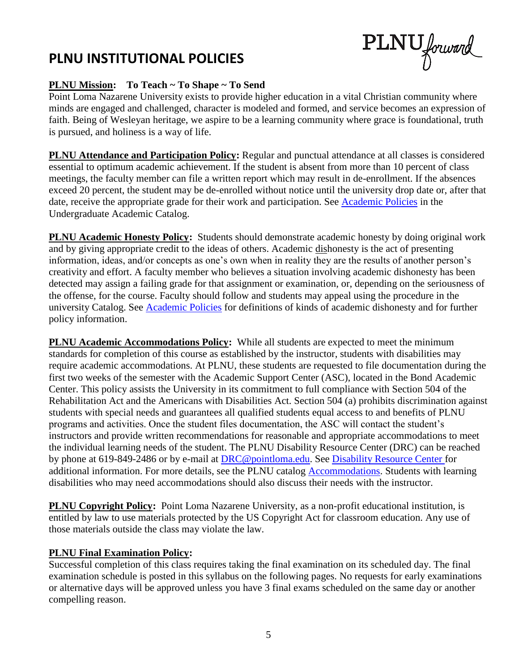# **PLNU INSTITUTIONAL POLICIES**

PLNU forward

#### **PLNU Mission: To Teach ~ To Shape ~ To Send**

Point Loma Nazarene University exists to provide higher education in a vital Christian community where minds are engaged and challenged, character is modeled and formed, and service becomes an expression of faith. Being of Wesleyan heritage, we aspire to be a learning community where grace is foundational, truth is pursued, and holiness is a way of life.

**PLNU Attendance and Participation Policy:** Regular and punctual attendance at all classes is considered essential to optimum academic achievement. If the student is absent from more than 10 percent of class meetings, the faculty member can file a written report which may result in de-enrollment. If the absences exceed 20 percent, the student may be de-enrolled without notice until the university drop date or, after that date, receive the appropriate grade for their work and participation. See [Academic Policies](http://catalog.pointloma.edu/content.php?catoid=18&navoid=1278) in the Undergraduate Academic Catalog.

**PLNU Academic Honesty Policy:** Students should demonstrate academic honesty by doing original work and by giving appropriate credit to the ideas of others. Academic dishonesty is the act of presenting information, ideas, and/or concepts as one's own when in reality they are the results of another person's creativity and effort. A faculty member who believes a situation involving academic dishonesty has been detected may assign a failing grade for that assignment or examination, or, depending on the seriousness of the offense, for the course. Faculty should follow and students may appeal using the procedure in the university Catalog. See **Academic Policies** for definitions of kinds of academic dishonesty and for further policy information.

**PLNU Academic Accommodations Policy:** While all students are expected to meet the minimum standards for completion of this course as established by the instructor, students with disabilities may require academic accommodations. At PLNU, these students are requested to file documentation during the first two weeks of the semester with the Academic Support Center (ASC), located in the Bond Academic Center. This policy assists the University in its commitment to full compliance with Section 504 of the Rehabilitation Act and the Americans with Disabilities Act. Section 504 (a) prohibits discrimination against students with special needs and guarantees all qualified students equal access to and benefits of PLNU programs and activities. Once the student files documentation, the ASC will contact the student's instructors and provide written recommendations for reasonable and appropriate accommodations to meet the individual learning needs of the student. The PLNU Disability Resource Center (DRC) can be reached by phone at 619-849-2486 or by e-mail at [DRC@pointloma.edu.](mailto:DRC@pointloma.edu) See [Disability Resource Center](http://www.pointloma.edu/experience/offices/administrative-offices/academic-advising-office/disability-resource-center) for additional information. For more details, see the PLNU catalog [Accommodations.](https://catalog.pointloma.edu/content.php?catoid=35&navoid=2136#Academic_Accommodations) Students with learning disabilities who may need accommodations should also discuss their needs with the instructor.

**PLNU Copyright Policy:** Point Loma Nazarene University, as a non-profit educational institution, is entitled by law to use materials protected by the US Copyright Act for classroom education. Any use of those materials outside the class may violate the law.

#### **PLNU Final Examination Policy:**

Successful completion of this class requires taking the final examination on its scheduled day. The final examination schedule is posted in this syllabus on the following pages. No requests for early examinations or alternative days will be approved unless you have 3 final exams scheduled on the same day or another compelling reason.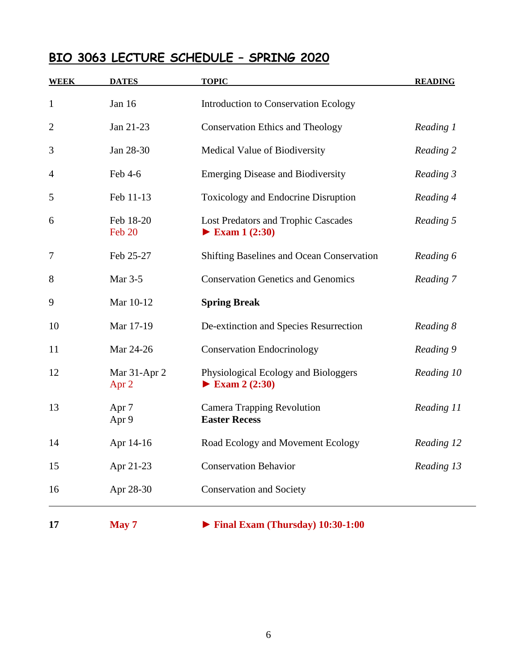## **BIO 3063 LECTURE SCHEDULE – SPRING 2020**

| <b>WEEK</b>    | <b>DATES</b>              | <b>TOPIC</b>                                                               | <b>READING</b> |
|----------------|---------------------------|----------------------------------------------------------------------------|----------------|
| $\mathbf{1}$   | Jan 16                    | <b>Introduction to Conservation Ecology</b>                                |                |
| $\overline{2}$ | Jan 21-23                 | <b>Conservation Ethics and Theology</b>                                    | Reading 1      |
| 3              | Jan 28-30                 | Medical Value of Biodiversity                                              | Reading 2      |
| 4              | Feb 4-6                   | <b>Emerging Disease and Biodiversity</b>                                   | Reading 3      |
| 5              | Feb 11-13                 | Toxicology and Endocrine Disruption                                        | Reading 4      |
| 6              | Feb 18-20<br>Feb 20       | Lost Predators and Trophic Cascades<br>$\blacktriangleright$ Exam 1 (2:30) | Reading 5      |
| $\overline{7}$ | Feb 25-27                 | Shifting Baselines and Ocean Conservation                                  | Reading 6      |
| 8              | Mar 3-5                   | <b>Conservation Genetics and Genomics</b>                                  | Reading 7      |
| 9              | Mar 10-12                 | <b>Spring Break</b>                                                        |                |
| 10             | Mar 17-19                 | De-extinction and Species Resurrection                                     | Reading 8      |
| 11             | Mar 24-26                 | <b>Conservation Endocrinology</b>                                          | Reading 9      |
| 12             | Mar 31-Apr 2<br>Apr 2     | Physiological Ecology and Biologgers<br>Exam 2 $(2:30)$                    | Reading 10     |
| 13             | Apr <sub>7</sub><br>Apr 9 | <b>Camera Trapping Revolution</b><br><b>Easter Recess</b>                  | Reading 11     |
| 14             | Apr 14-16                 | Road Ecology and Movement Ecology                                          | Reading 12     |
| 15             | Apr 21-23                 | <b>Conservation Behavior</b>                                               | Reading 13     |
| 16             | Apr 28-30                 | <b>Conservation and Society</b>                                            |                |
| 17             | May 7                     | $\blacktriangleright$ Final Exam (Thursday) 10:30-1:00                     |                |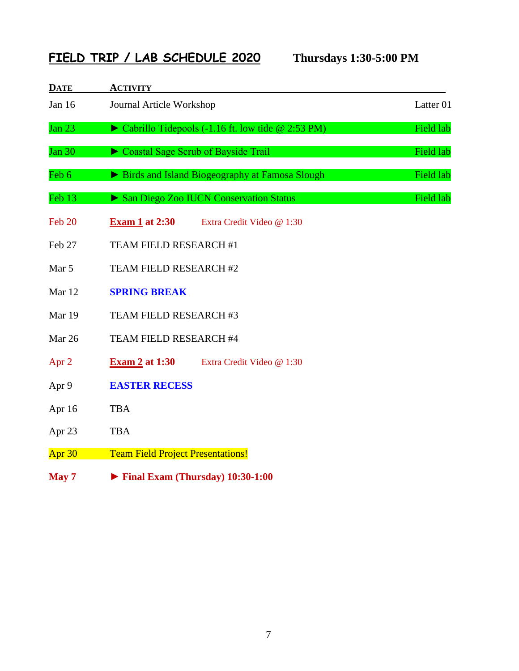## **FIELD TRIP / LAB SCHEDULE 2020 Thursdays 1:30-5:00 PM**

| <b>DATE</b>   | <b>ACTIVITY</b>                                                    |           |
|---------------|--------------------------------------------------------------------|-----------|
| Jan 16        | Journal Article Workshop                                           | Latter 01 |
| Jan $23$      | $\triangleright$ Cabrillo Tidepools (-1.16 ft. low tide @ 2:53 PM) | Field lab |
| <b>Jan 30</b> | Coastal Sage Scrub of Bayside Trail                                | Field lab |
| Feb 6         | Birds and Island Biogeography at Famosa Slough                     | Field lab |
| Feb 13        | San Diego Zoo IUCN Conservation Status                             | Field lab |
| Feb 20        | <b>Exam 1 at 2:30</b><br>Extra Credit Video @ 1:30                 |           |
| Feb 27        | TEAM FIELD RESEARCH #1                                             |           |
| Mar 5         | TEAM FIELD RESEARCH #2                                             |           |
| Mar 12        | <b>SPRING BREAK</b>                                                |           |
| Mar 19        | TEAM FIELD RESEARCH #3                                             |           |
| Mar 26        | TEAM FIELD RESEARCH #4                                             |           |
| Apr $2$       | <b>Exam 2 at 1:30</b><br>Extra Credit Video @ 1:30                 |           |
| Apr 9         | <b>EASTER RECESS</b>                                               |           |
| Apr 16        | <b>TBA</b>                                                         |           |
| Apr 23        | <b>TBA</b>                                                         |           |
| Apr $30$      | <b>Team Field Project Presentations!</b>                           |           |
| May 7         | $\blacktriangleright$ Final Exam (Thursday) 10:30-1:00             |           |